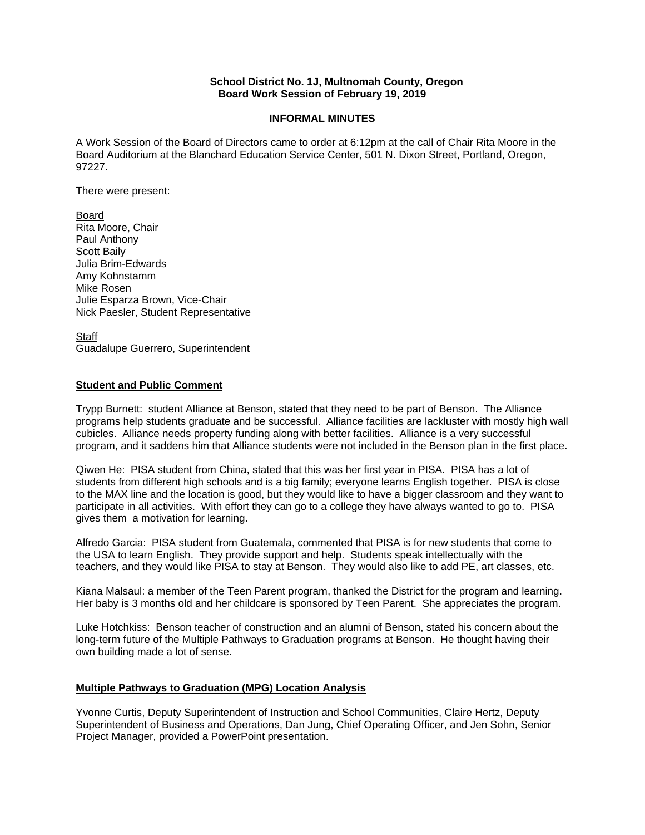### **School District No. 1J, Multnomah County, Oregon Board Work Session of February 19, 2019**

### **INFORMAL MINUTES**

A Work Session of the Board of Directors came to order at 6:12pm at the call of Chair Rita Moore in the Board Auditorium at the Blanchard Education Service Center, 501 N. Dixon Street, Portland, Oregon, 97227.

There were present:

Board Rita Moore, Chair Paul Anthony Scott Baily Julia Brim-Edwards Amy Kohnstamm Mike Rosen Julie Esparza Brown, Vice-Chair Nick Paesler, Student Representative

**Staff** Guadalupe Guerrero, Superintendent

## **Student and Public Comment**

Trypp Burnett: student Alliance at Benson, stated that they need to be part of Benson. The Alliance programs help students graduate and be successful. Alliance facilities are lackluster with mostly high wall cubicles. Alliance needs property funding along with better facilities. Alliance is a very successful program, and it saddens him that Alliance students were not included in the Benson plan in the first place.

Qiwen He: PISA student from China, stated that this was her first year in PISA. PISA has a lot of students from different high schools and is a big family; everyone learns English together. PISA is close to the MAX line and the location is good, but they would like to have a bigger classroom and they want to participate in all activities. With effort they can go to a college they have always wanted to go to. PISA gives them a motivation for learning.

Alfredo Garcia: PISA student from Guatemala, commented that PISA is for new students that come to the USA to learn English. They provide support and help. Students speak intellectually with the teachers, and they would like PISA to stay at Benson. They would also like to add PE, art classes, etc.

Kiana Malsaul: a member of the Teen Parent program, thanked the District for the program and learning. Her baby is 3 months old and her childcare is sponsored by Teen Parent. She appreciates the program.

Luke Hotchkiss: Benson teacher of construction and an alumni of Benson, stated his concern about the long-term future of the Multiple Pathways to Graduation programs at Benson. He thought having their own building made a lot of sense.

### **Multiple Pathways to Graduation (MPG) Location Analysis**

Yvonne Curtis, Deputy Superintendent of Instruction and School Communities, Claire Hertz, Deputy Superintendent of Business and Operations, Dan Jung, Chief Operating Officer, and Jen Sohn, Senior Project Manager, provided a PowerPoint presentation.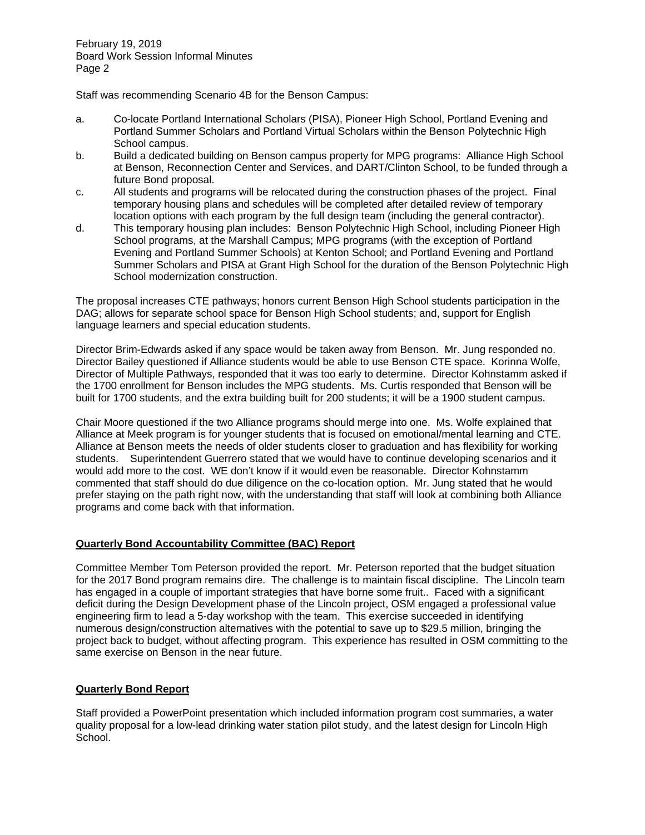February 19, 2019 Board Work Session Informal Minutes Page 2

Staff was recommending Scenario 4B for the Benson Campus:

- a. Co-locate Portland International Scholars (PISA), Pioneer High School, Portland Evening and Portland Summer Scholars and Portland Virtual Scholars within the Benson Polytechnic High School campus.
- b. Build a dedicated building on Benson campus property for MPG programs: Alliance High School at Benson, Reconnection Center and Services, and DART/Clinton School, to be funded through a future Bond proposal.
- c. All students and programs will be relocated during the construction phases of the project. Final temporary housing plans and schedules will be completed after detailed review of temporary location options with each program by the full design team (including the general contractor).
- d. This temporary housing plan includes: Benson Polytechnic High School, including Pioneer High School programs, at the Marshall Campus; MPG programs (with the exception of Portland Evening and Portland Summer Schools) at Kenton School; and Portland Evening and Portland Summer Scholars and PISA at Grant High School for the duration of the Benson Polytechnic High School modernization construction.

The proposal increases CTE pathways; honors current Benson High School students participation in the DAG; allows for separate school space for Benson High School students; and, support for English language learners and special education students.

Director Brim-Edwards asked if any space would be taken away from Benson. Mr. Jung responded no. Director Bailey questioned if Alliance students would be able to use Benson CTE space. Korinna Wolfe, Director of Multiple Pathways, responded that it was too early to determine. Director Kohnstamm asked if the 1700 enrollment for Benson includes the MPG students. Ms. Curtis responded that Benson will be built for 1700 students, and the extra building built for 200 students; it will be a 1900 student campus.

Chair Moore questioned if the two Alliance programs should merge into one. Ms. Wolfe explained that Alliance at Meek program is for younger students that is focused on emotional/mental learning and CTE. Alliance at Benson meets the needs of older students closer to graduation and has flexibility for working students. Superintendent Guerrero stated that we would have to continue developing scenarios and it would add more to the cost. WE don't know if it would even be reasonable. Director Kohnstamm commented that staff should do due diligence on the co-location option. Mr. Jung stated that he would prefer staying on the path right now, with the understanding that staff will look at combining both Alliance programs and come back with that information.

# **Quarterly Bond Accountability Committee (BAC) Report**

Committee Member Tom Peterson provided the report. Mr. Peterson reported that the budget situation for the 2017 Bond program remains dire. The challenge is to maintain fiscal discipline. The Lincoln team has engaged in a couple of important strategies that have borne some fruit.. Faced with a significant deficit during the Design Development phase of the Lincoln project, OSM engaged a professional value engineering firm to lead a 5-day workshop with the team. This exercise succeeded in identifying numerous design/construction alternatives with the potential to save up to \$29.5 million, bringing the project back to budget, without affecting program. This experience has resulted in OSM committing to the same exercise on Benson in the near future.

### **Quarterly Bond Report**

Staff provided a PowerPoint presentation which included information program cost summaries, a water quality proposal for a low-lead drinking water station pilot study, and the latest design for Lincoln High School.